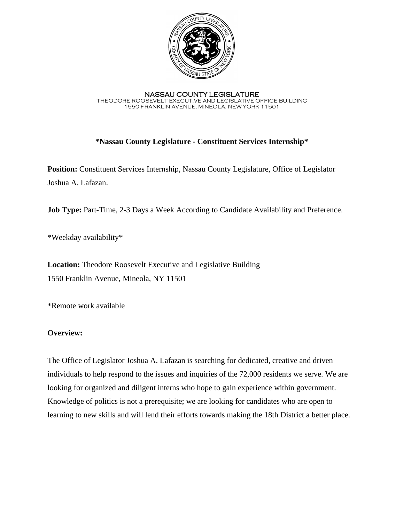

NASSAU COUNTY LEGISLATURE THEODORE ROOSEVELT EXECUTIVE AND LEGISLATIVE OFFICE BUILDING 1550 FRANKLIN AVENUE, MINEOLA, NEW YORK 11501

# **\*Nassau County Legislature - Constituent Services Internship\***

**Position:** Constituent Services Internship, Nassau County Legislature, Office of Legislator Joshua A. Lafazan.

**Job Type:** Part-Time, 2-3 Days a Week According to Candidate Availability and Preference.

\*Weekday availability\*

**Location:** Theodore Roosevelt Executive and Legislative Building 1550 Franklin Avenue, Mineola, NY 11501

\*Remote work available

## **Overview:**

The Office of Legislator Joshua A. Lafazan is searching for dedicated, creative and driven individuals to help respond to the issues and inquiries of the 72,000 residents we serve. We are looking for organized and diligent interns who hope to gain experience within government. Knowledge of politics is not a prerequisite; we are looking for candidates who are open to learning to new skills and will lend their efforts towards making the 18th District a better place.